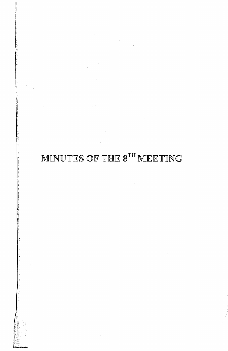## MINUTES OF THE 8TH MEETING

 $\mathcal{L}^{\text{max}}_{\text{max}}$ 

 $\mathcal{L}^{\text{max}}_{\text{max}}$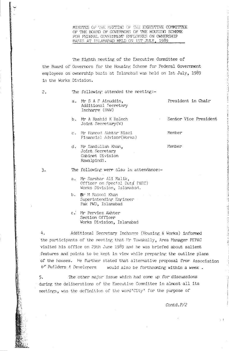MINUTES OF THE MEETING OF THE EXECUTIVE COMMITTEE OF THE BOARD OF GOVERNORS OF THE HOUSING SCHEME FOR FEDERAL GOVERNMENT EMPLOYFES ON OWNERSHIP BASIS AT ISLAMABAD HELD ON IST JULY, 1989

The Eighth meeting of the Executive Committee of the Board of Governors for the Housing Scheme for Federal Government employees on ownership basis at Islamabad was held on Ist July, 1989 in the Works Division.

The following attended the meeting:-

- a. Mr S A S Ainuddin, Additional Secretary Incharge (IRW)
- b. Mr A Rashid K Baloch Joint Secretary(W)
- c. Mr Hameed Akhtar Miazi Financial Advisor(Works)
- d. Mr Samiullah Khan. Joint Secretary Cabinet Division Rawalpindi.

President in Chair

Sendor Vice President

Member

Member

 $3.$ 

 $2.$ 

The following were also in attendance:-

- a. Mr Sarshar Ali Malik, Officer on Special Duty P&EC) Works Division, Islamabad.
- b. Mar M Rasool Khan Superintending Engineer Pak PWD, Islamabad
- c. Mr Perviez Akhter Section Officer Works Division, Islamabad

4. Additional Secretary Incharge (Housing & Works) informed the participants of the meeting that Mr Tawakally, Area Manager PEPAC visited his office on 29th June 1989 and he was briefed about salient features and points to be kept in view while preparing the outline plans of the houses. He further stated that alternative proposal from Association of Builders & Developers would also be forthcoming within a week.

The other major issue which had come up for discussions 5. during the deliberations of the Executive Committee in almost all its meetings, was the definition of the word'City' for the purpose of

Contd.P/2

 $\sim$  1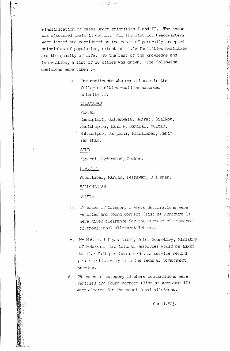classification of cases under priorities I and II. The issue was discussed again in detail. All the district headquarters were listed and considered on the basis of generally accepted principles of population, extent of civic facilities available and the quality of life. To the best of the knowledge and information, a list of 20 cities was drawn. The following decisions were taken :-

 $\tilde{c}$  as

a. The applicants who own a house in the following cities would be accorded priority II.

ISLAMABAD

## **PUNJAB**

Rawalpindi, Gujranwala, Gujrat, Sialkot, Sheikhupura, Lahore, Sahiwal, Multan, Bahawalpur, Sargodha, Faisalabad, Rahim Yar Khan.

SIND

Karachi, Hyderabad, Sukkur.

 $N.W.F.P.$ 

Abbottabad, Mardan, Peshawar, D.I.Khan.

## BALUCHISTAN

Quetta.

- b. 17 cases of Category I where declarations were verified and found correct (list at Annexure I) were given clearance for the purpose of issuance of provisional allotment letters.
- c. Mr Mohammad Ilyas Lodhi, Joint Secretary, Ministry of Petroleum and Natural Resources would be asked to give full particulars of his service record prior to his entry into the federal government service.
- d. 24 cases of category II where declarations were verified and found correct (list at Annexure II) were cleared for the provisional allotment.

Contd. $P/3$ .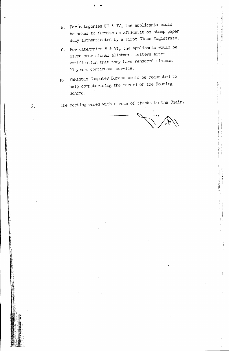e. For categories II & IV, the applicants would be asked to furnish an affidavit on stamp paper duly authenticated by a First Class Magistrate.

3

6.

- f. For categories V & VI, the applicants would be given provisional allotment letters after verification that they have rendered minimum 20 years continuous service.
- g. Pakistan Computer Bureau would be requested to help computerising the record of the Housing Scheme.

The meeting ended with a vote of thanks to the Chair.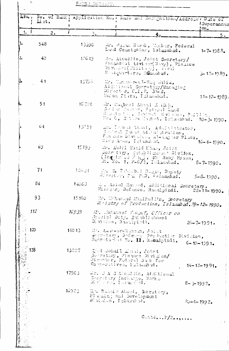| SNO <sub>0</sub> | List. | No. of Bank, Application No. , Name and Doction address , Date of |                          |                                                                                                                    |                                                                                                                                                   |                | ISuperannue<br>$!m_{\bullet}$ |          |
|------------------|-------|-------------------------------------------------------------------|--------------------------|--------------------------------------------------------------------------------------------------------------------|---------------------------------------------------------------------------------------------------------------------------------------------------|----------------|-------------------------------|----------|
| 1.               | 2.    |                                                                   | $\mathcal{E}_{\bullet}$  |                                                                                                                    | 4.                                                                                                                                                |                |                               | 5.       |
| ı.               | 548   | 13330                                                             |                          |                                                                                                                    | Mr. Hasan Nawab, Monber, Federal<br>Land Commission, Islanabad.                                                                                   |                | $1 - 7 - 1988$                |          |
| 2.               | 40    | 1.7649                                                            |                          | Headquarters, Islamabad.                                                                                           | Mr. Ainuddin, Joint Secretary/<br>Financial Adviser(Navy), Finance<br>Divinson(Willtow), Waval                                                    |                | $3 - 12 - 1989$               |          |
| B.               | 41    |                                                                   | $13756 -$                | Director, C.F.F. 30-2,<br>Union Plaza, Islamabud.                                                                  | Mr. Mancoco-thul-Haq Saliz,<br>Addlineal Secretary/Managing                                                                                       |                | $11 - 12 - 1289$              |          |
|                  | 51    | 16.724                                                            |                          |                                                                                                                    | We Facbeel Aband Saidth,<br>Geniam Masser, Federal Land<br>Commission, Cibinet Division, Ruillin,<br>No. 6, 315 ina Madret, Intanahad. 10-2-1990. |                |                               |          |
|                  | 64    | 15231                                                             |                          | $2102$ Area, Islamabad.                                                                                            | Law. Thehad Ahssa, Adaleinteator,<br>Dentmal Takat Administration,<br>Finance Division, al-Assuar Pluza,                                          |                | $16 - 4 - 1990.$              |          |
|                  | 69    | $15193 -$                                                         |                          |                                                                                                                    | Mr. Abdrl Wahid Khan, Joint<br>Jeanwhury, Establicated blviden,<br>(Inguistes WaC), 400 Ruby House,<br>$3t$ . No. 1, $F=6/3$ , Inlamated.         |                | $8 - 7 - 1990$ .              |          |
|                  | 71    |                                                                   |                          |                                                                                                                    | $126.24$ . Me. $3\bullet$ Table belo Hegger, Deputy<br>Director, Pak PSD, Islamabad.                                                              |                | $5 - 8 - 1990.$               |          |
|                  | 84    | 14063                                                             |                          |                                                                                                                    | 2. Abial Hassed, Additional Secretary,<br>Minicury Defence, Rawalpindi. 22-11-1990.                                                               |                |                               |          |
|                  | 93    | 15160                                                             |                          |                                                                                                                    | Mr. Mahammad Masihullin, Secretary<br>Mristry of Production, Islamabad. 29-12-1990.                                                               |                |                               |          |
|                  | 112   | 1E 9 35                                                           |                          | Special Duty, Establishment<br>Division, Raatipiedi.                                                               | - M. Muhairiad Tousuf, Cffleir on                                                                                                                 |                | $25 - 7 - 1991$ .             |          |
|                  | 120   | $14013 -$                                                         | W. Amir-ur-Rehiam, Joint |                                                                                                                    | Georatam', Defence Production Division,<br>Secretariat Ne. II, Ramalpindi.                                                                        |                | $6 - 10 - 1991$               |          |
|                  | 128   | 13227                                                             |                          | 2004 Johail Mural, Joint<br>Secretiny, Finance Division/<br>Digeoter, Federal Back for<br>Comperiatives, Islandon. |                                                                                                                                                   |                | $14 - 12 - 1991$              |          |
|                  |       | $175C_3$                                                          |                          | Gerstary Incharge, Works<br>Division, Indonesiad.                                                                  | me. J A 3 Alned Mn, Additional                                                                                                                    | $8 - 3 - 1992$ |                               |          |
|                  |       | 16923 M. Bushir Absel, Seretary,                                  |                          | Pluming and Development<br>Division, Islandbad.                                                                    |                                                                                                                                                   |                | $20 - 4 - 1992$               |          |
|                  |       |                                                                   |                          |                                                                                                                    | $C$ untd $P/2$                                                                                                                                    |                |                               | $\sim 1$ |
|                  |       |                                                                   |                          |                                                                                                                    |                                                                                                                                                   |                |                               |          |

一つ こうりょう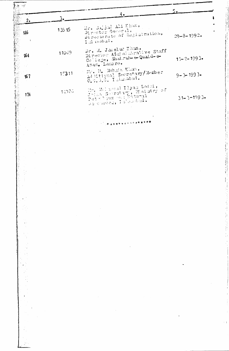|                     |                         | 4.4                                                                                                  | 5.                |
|---------------------|-------------------------|------------------------------------------------------------------------------------------------------|-------------------|
| 2.                  | $\mathbf{3}$ .          |                                                                                                      |                   |
| 146<br>$\mathbf{I}$ | 13515                   | Mr. Saidah Ali Khan,<br>Director General.<br>Directorate of Registration,<br>$1.3$ mahal.            | $29 - 8 - 1992$   |
| \$64                | 11009                   | Dr. M. Jamelur Khan,<br>Director Administrative Staff<br>College, Shahrah-& Quaid-&<br>Azam, Lahore. | $15 - 2 - 1993$   |
| 167                 | 15311                   | Mr. M. Mohair Khan,<br>Ad Htienal Secretary/Member<br>$\mathcal{F}_{\mathcal{F}}$ .                  | $9 - 3 - 1993$    |
| 174                 | 14086                   | Mr. Mal numal Ilyas Lodsi,<br>Joint Soundary, Haistry of<br>Referreded, Islamshind.                  | $31 - 3 - 1993$ . |
|                     |                         |                                                                                                      |                   |
|                     |                         | 1. 降 塔泽塔德 经专业人工法经济保护棒                                                                                |                   |
|                     |                         |                                                                                                      |                   |
|                     |                         |                                                                                                      |                   |
|                     |                         |                                                                                                      |                   |
|                     |                         |                                                                                                      |                   |
| $\sim$              |                         |                                                                                                      |                   |
|                     |                         |                                                                                                      |                   |
|                     | <b>Contractor</b>       |                                                                                                      |                   |
|                     |                         |                                                                                                      |                   |
|                     |                         |                                                                                                      |                   |
|                     |                         | $\sim 100$                                                                                           |                   |
|                     | $\sim 100$ km s $^{-1}$ |                                                                                                      |                   |
| 強く                  |                         |                                                                                                      |                   |
|                     |                         | $\mathcal{L}_{\text{max}}$ and $\mathcal{L}_{\text{max}}$ .                                          |                   |
|                     |                         |                                                                                                      |                   |
|                     |                         | and the state of the state                                                                           |                   |
|                     |                         |                                                                                                      |                   |
|                     |                         |                                                                                                      |                   |
|                     |                         |                                                                                                      |                   |
|                     |                         |                                                                                                      |                   |
|                     |                         |                                                                                                      |                   |
|                     |                         | the contract of the state of the contract of the contract of the con-<br>the state of the control of |                   |
|                     |                         |                                                                                                      |                   |
|                     |                         |                                                                                                      |                   |
|                     |                         |                                                                                                      |                   |
|                     |                         |                                                                                                      |                   |
|                     |                         |                                                                                                      |                   |
|                     |                         |                                                                                                      |                   |

"我的,我们不会不会不会不会,我们不会不会不会不会不会不会不会不会不会不会不会不会不会不会不会不会,我们不会不会不会不会,我们不会不会不会不会,我不会不会不会,我不会不会不会,我不会不会不会,我不会不会不会,我不会不会不会,我不会不会<br>第2522章 我不是,我不是你,我不是我们的,我不是我们的,我不是我们的,我不是我们的,我不是我们的,我不是我们的,我不是我们的,我不是我们的。我不是我们的,我

 $\begin{array}{c} \begin{array}{c} \text{1}\\ \text{2}\\ \text{3}\\ \text{4}\\ \text{5}\\ \text{6}\\ \text{7}\\ \text{7}\\ \text{8}\\ \text{9}\\ \text{9}\\ \text{10}\\ \text{11}\\ \text{12}\\ \text{13}\\ \text{14}\\ \text{16}\\ \text{17}\\ \text{18}\\ \text{19}\\ \text{19}\\ \text{10}\\ \text{10}\\ \text{11}\\ \text{12}\\ \text{13}\\ \text{14}\\ \text{16}\\ \text{17}\\ \text{18}\\ \text{19}\\ \text{19}\\ \text{10}\\ \text{10}\\ \text{11}\\ \text{12}\\ \$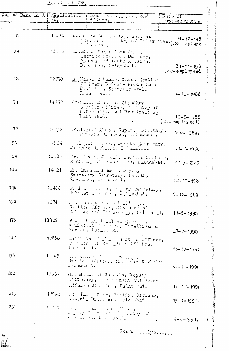FUURD CORNECT.

5

| No. of Bank List! | Applicities.<br>VO. |            | I Hanke and Depignablen<br>Alurens                                                 |                                                                             | Date of                           | <u>Superancuation</u>               |
|-------------------|---------------------|------------|------------------------------------------------------------------------------------|-----------------------------------------------------------------------------|-----------------------------------|-------------------------------------|
|                   |                     |            |                                                                                    |                                                                             |                                   |                                     |
| 35                | 1.5636              |            | Islamsad.                                                                          | Mr. Minza Shedair Beg, Section<br>Officer, Haistay of Industries, Re-amloye |                                   |                                     |
| O <sub>4</sub>    | 13175               |            | Mr.Mr. Hasan Raza Bais,<br>Division, Islamabad.                                    | Section Officer, Dulture,<br>Sports and Youth Affairs,                      |                                   | $31 - 11 - 198$<br>$($ Re-employeed |
| 1 <sup>3</sup>    | 12770               |            | Divi.don, Secretariat-II<br>Rawalphadi.                                            | mh. Nazar Athans d Khan, Section<br>Cflicer, Defence Production             |                                   | $4 - 10 - 1988$                     |
| 71                | 14777               |            | Mr. Nasser Mohammed Choudhry,<br>Islamabel.                                        | Section Officer, Heistry of<br>Information and Broadcasting                 | $(K \rightarrow e \rightarrow e)$ | $10 - 5 - 1988$                     |
| 77                | 14792               |            |                                                                                    | Mandashed Almed, Deputy Recretary,<br>Minance Division, Islamabad.          |                                   | $2 - 6 - 1989$ .                    |
| 97                | 14534               |            | rinance Division, I lamanud.                                                       | Mr.Igbal Hamerd, Deputy Secretary,                                          |                                   | $31 - 7 - 1989$                     |
| 104               | 12589               |            |                                                                                    | Mr. Mhtte Jam11, Section Officer,<br>Alaistry of Industries, Islambad.      |                                   | $22 - 9 - 1989$                     |
| 106               | 14621               |            | Mr. Muhammad And n, Deputy<br>Searetary Secretary, Health,<br>Dividion, Infrashed. |                                                                             |                                   | $12 - 10 - 1989$                    |
| 110               | 15406               |            |                                                                                    | 27 :d Ali Abossi, Deputy Secretary,                                         |                                   | $5 - 12 - 1989$                     |
| 153               | 13741               |            | Hr. Macha Our Almed Lidding<br>Section Officer, Misistry of                        | Selence and Technology, Islamabad.                                          |                                   | $11 - 5 - 1990$ .                   |
| 17 <sub>6</sub>   | 133.5               |            | Ma Muhammed Cilean Queeshi,<br>bursal, Islamanad.                                  | And staat Diesctor, Intellijange                                            |                                   | $27 - 7 - 1990$                     |
| 187               | 12880               | I slambed. |                                                                                    | while that I had, See that Officer,<br>with stry of Religious Africa,       |                                   | $15 - 10 - 199$                     |
| 197               | 14165               | Islamond.  | Una Ashte Atmel Salligi,                                                           | Section Officer, Elinance Division,                                         |                                   | $30 - 11 - 1990$                    |
| ಖ೦                | نتزذد1              |            | Mr. Mahmani Hamanin, Deputy<br>Afful as Division, Islan had.                       | Sacretacy, Authorizent and Urban                                            |                                   | $12 - 12 - 1990$                    |
| 215               | 12960               |            | Women's Division, Islanabad.                                                       | Mr. Jumil Khan, Saction Officer,                                            |                                   | $19 - 1 - 1991.$                    |
| 230               | $15.110 - 1$        |            | additional chemis I all'unabata                                                    |                                                                             |                                   | $14 - 4 - 1991.$<br>$\sim 1$        |
|                   |                     |            |                                                                                    |                                                                             |                                   |                                     |

Contd..... $P/2$ .....

 $\bar{r}$ 

**The State State**  $\ddot{\cdot}$ 

H

tan<br>P

**Side**